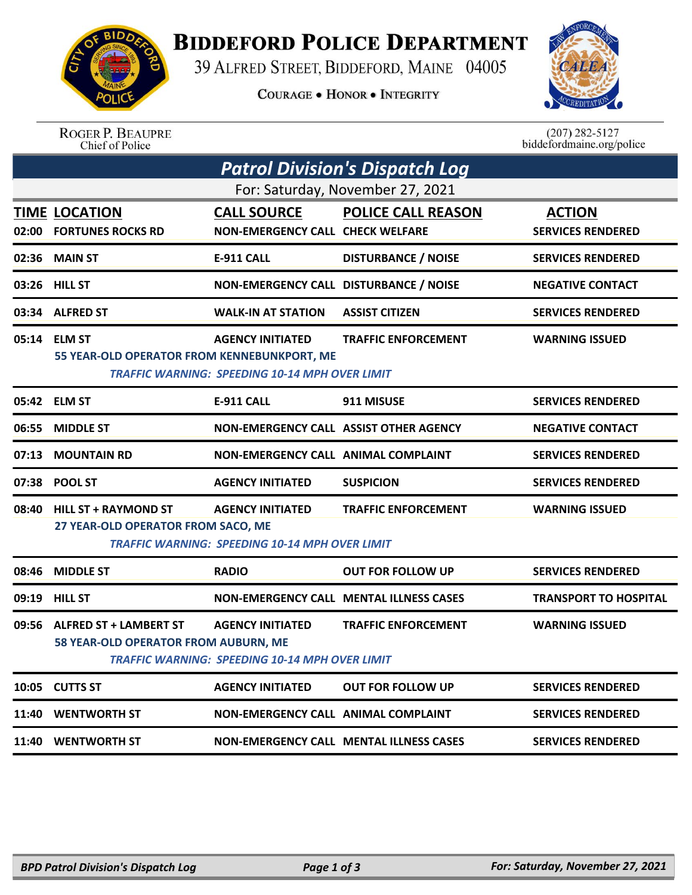

## **BIDDEFORD POLICE DEPARTMENT**

39 ALFRED STREET, BIDDEFORD, MAINE 04005

**COURAGE . HONOR . INTEGRITY** 



ROGER P. BEAUPRE<br>Chief of Police

 $(207)$  282-5127<br>biddefordmaine.org/police

|                                  |                                             |                                                       | <b>Patrol Division's Dispatch Log</b>          |                              |  |  |  |  |
|----------------------------------|---------------------------------------------|-------------------------------------------------------|------------------------------------------------|------------------------------|--|--|--|--|
| For: Saturday, November 27, 2021 |                                             |                                                       |                                                |                              |  |  |  |  |
|                                  | <b>TIME LOCATION</b>                        | <b>CALL SOURCE</b>                                    | <b>POLICE CALL REASON</b>                      | <b>ACTION</b>                |  |  |  |  |
| 02:00                            | <b>FORTUNES ROCKS RD</b>                    | <b>NON-EMERGENCY CALL CHECK WELFARE</b>               |                                                | <b>SERVICES RENDERED</b>     |  |  |  |  |
| 02:36                            | <b>MAIN ST</b>                              | <b>E-911 CALL</b>                                     | <b>DISTURBANCE / NOISE</b>                     | <b>SERVICES RENDERED</b>     |  |  |  |  |
|                                  | 03:26 HILL ST                               | NON-EMERGENCY CALL DISTURBANCE / NOISE                |                                                | <b>NEGATIVE CONTACT</b>      |  |  |  |  |
| 03:34                            | <b>ALFRED ST</b>                            | <b>WALK-IN AT STATION</b>                             | <b>ASSIST CITIZEN</b>                          | <b>SERVICES RENDERED</b>     |  |  |  |  |
|                                  | 05:14 ELM ST                                | <b>AGENCY INITIATED</b>                               | <b>TRAFFIC ENFORCEMENT</b>                     | <b>WARNING ISSUED</b>        |  |  |  |  |
|                                  | 55 YEAR-OLD OPERATOR FROM KENNEBUNKPORT, ME | <b>TRAFFIC WARNING: SPEEDING 10-14 MPH OVER LIMIT</b> |                                                |                              |  |  |  |  |
|                                  | 05:42 ELM ST                                | <b>E-911 CALL</b>                                     | 911 MISUSE                                     | <b>SERVICES RENDERED</b>     |  |  |  |  |
| 06:55                            | <b>MIDDLE ST</b>                            | NON-EMERGENCY CALL ASSIST OTHER AGENCY                |                                                | <b>NEGATIVE CONTACT</b>      |  |  |  |  |
| 07:13                            | <b>MOUNTAIN RD</b>                          | NON-EMERGENCY CALL ANIMAL COMPLAINT                   |                                                | <b>SERVICES RENDERED</b>     |  |  |  |  |
|                                  | 07:38 POOL ST                               | <b>AGENCY INITIATED</b>                               | <b>SUSPICION</b>                               | <b>SERVICES RENDERED</b>     |  |  |  |  |
| 08:40                            | <b>HILL ST + RAYMOND ST</b>                 | <b>AGENCY INITIATED</b>                               | <b>TRAFFIC ENFORCEMENT</b>                     | <b>WARNING ISSUED</b>        |  |  |  |  |
|                                  | 27 YEAR-OLD OPERATOR FROM SACO, ME          | <b>TRAFFIC WARNING: SPEEDING 10-14 MPH OVER LIMIT</b> |                                                |                              |  |  |  |  |
| 08:46                            | <b>MIDDLE ST</b>                            | <b>RADIO</b>                                          | <b>OUT FOR FOLLOW UP</b>                       | <b>SERVICES RENDERED</b>     |  |  |  |  |
| 09:19                            | <b>HILL ST</b>                              |                                                       | <b>NON-EMERGENCY CALL MENTAL ILLNESS CASES</b> | <b>TRANSPORT TO HOSPITAL</b> |  |  |  |  |
| 09:56                            | <b>ALFRED ST + LAMBERT ST</b>               | <b>AGENCY INITIATED</b>                               | <b>TRAFFIC ENFORCEMENT</b>                     | <b>WARNING ISSUED</b>        |  |  |  |  |
|                                  | 58 YEAR-OLD OPERATOR FROM AUBURN, ME        | <b>TRAFFIC WARNING: SPEEDING 10-14 MPH OVER LIMIT</b> |                                                |                              |  |  |  |  |
|                                  | 10:05 CUTTS ST                              | <b>AGENCY INITIATED</b>                               | <b>OUT FOR FOLLOW UP</b>                       | <b>SERVICES RENDERED</b>     |  |  |  |  |
| 11:40                            | <b>WENTWORTH ST</b>                         | <b>NON-EMERGENCY CALL ANIMAL COMPLAINT</b>            |                                                | <b>SERVICES RENDERED</b>     |  |  |  |  |
|                                  | 11:40 WENTWORTH ST                          |                                                       | <b>NON-EMERGENCY CALL MENTAL ILLNESS CASES</b> | <b>SERVICES RENDERED</b>     |  |  |  |  |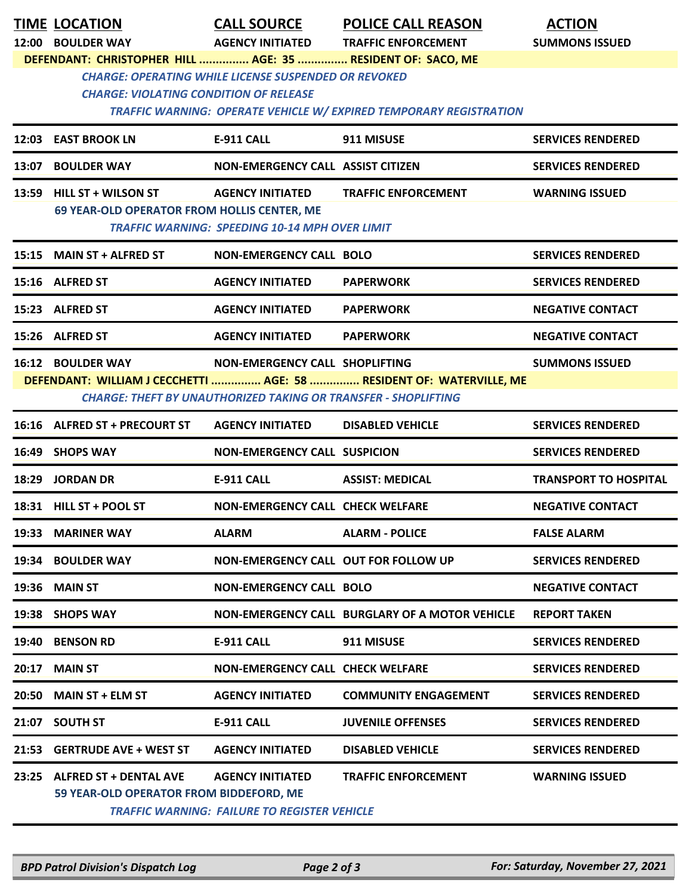|       | <b>TIME LOCATION</b>                                        | <b>CALL SOURCE</b>                                                    | <b>POLICE CALL REASON</b>                                            | <b>ACTION</b>                |
|-------|-------------------------------------------------------------|-----------------------------------------------------------------------|----------------------------------------------------------------------|------------------------------|
|       | 12:00 BOULDER WAY                                           | <b>AGENCY INITIATED</b>                                               | <b>TRAFFIC ENFORCEMENT</b>                                           | <b>SUMMONS ISSUED</b>        |
|       | DEFENDANT: CHRISTOPHER HILL  AGE: 35  RESIDENT OF: SACO, ME | <b>CHARGE: OPERATING WHILE LICENSE SUSPENDED OR REVOKED</b>           |                                                                      |                              |
|       | <b>CHARGE: VIOLATING CONDITION OF RELEASE</b>               |                                                                       |                                                                      |                              |
|       |                                                             |                                                                       | TRAFFIC WARNING: OPERATE VEHICLE W/ EXPIRED TEMPORARY REGISTRATION   |                              |
|       | 12:03 EAST BROOK LN                                         | <b>E-911 CALL</b>                                                     | 911 MISUSE                                                           | <b>SERVICES RENDERED</b>     |
|       | 13:07 BOULDER WAY                                           | NON-EMERGENCY CALL ASSIST CITIZEN                                     |                                                                      | <b>SERVICES RENDERED</b>     |
|       | 13:59 HILL ST + WILSON ST                                   | <b>AGENCY INITIATED</b>                                               | <b>TRAFFIC ENFORCEMENT</b>                                           | <b>WARNING ISSUED</b>        |
|       | 69 YEAR-OLD OPERATOR FROM HOLLIS CENTER, ME                 | <b>TRAFFIC WARNING: SPEEDING 10-14 MPH OVER LIMIT</b>                 |                                                                      |                              |
|       |                                                             |                                                                       |                                                                      |                              |
|       | 15:15 MAIN ST + ALFRED ST                                   | <b>NON-EMERGENCY CALL BOLO</b>                                        |                                                                      | <b>SERVICES RENDERED</b>     |
|       | 15:16 ALFRED ST                                             | <b>AGENCY INITIATED</b>                                               | <b>PAPERWORK</b>                                                     | <b>SERVICES RENDERED</b>     |
|       | 15:23 ALFRED ST                                             | <b>AGENCY INITIATED</b>                                               | <b>PAPERWORK</b>                                                     | <b>NEGATIVE CONTACT</b>      |
|       | 15:26 ALFRED ST                                             | <b>AGENCY INITIATED</b>                                               | <b>PAPERWORK</b>                                                     | <b>NEGATIVE CONTACT</b>      |
|       | <b>16:12 BOULDER WAY</b>                                    | NON-EMERGENCY CALL SHOPLIFTING                                        |                                                                      | <b>SUMMONS ISSUED</b>        |
|       |                                                             | <b>CHARGE: THEFT BY UNAUTHORIZED TAKING OR TRANSFER - SHOPLIFTING</b> | DEFENDANT: WILLIAM J CECCHETTI  AGE: 58  RESIDENT OF: WATERVILLE, ME |                              |
|       |                                                             |                                                                       |                                                                      |                              |
|       | 16:16 ALFRED ST + PRECOURT ST                               | <b>AGENCY INITIATED</b>                                               | <b>DISABLED VEHICLE</b>                                              | <b>SERVICES RENDERED</b>     |
|       | 16:49 SHOPS WAY                                             | <b>NON-EMERGENCY CALL SUSPICION</b>                                   |                                                                      | <b>SERVICES RENDERED</b>     |
|       | 18:29 JORDAN DR                                             | <b>E-911 CALL</b>                                                     | <b>ASSIST: MEDICAL</b>                                               | <b>TRANSPORT TO HOSPITAL</b> |
|       | 18:31 HILL ST + POOL ST                                     | <b>NON-EMERGENCY CALL CHECK WELFARE</b>                               |                                                                      | <b>NEGATIVE CONTACT</b>      |
|       | 19:33 MARINER WAY                                           | <b>ALARM</b>                                                          | <b>ALARM - POLICE</b>                                                | <b>FALSE ALARM</b>           |
|       | 19:34 BOULDER WAY                                           | NON-EMERGENCY CALL OUT FOR FOLLOW UP                                  |                                                                      | <b>SERVICES RENDERED</b>     |
| 19:36 | <b>MAIN ST</b>                                              | <b>NON-EMERGENCY CALL BOLO</b>                                        |                                                                      | <b>NEGATIVE CONTACT</b>      |
|       | 19:38 SHOPS WAY                                             |                                                                       | NON-EMERGENCY CALL BURGLARY OF A MOTOR VEHICLE                       | <b>REPORT TAKEN</b>          |
|       | 19:40 BENSON RD                                             | <b>E-911 CALL</b>                                                     | 911 MISUSE                                                           | <b>SERVICES RENDERED</b>     |
| 20:17 | <b>MAIN ST</b>                                              | <b>NON-EMERGENCY CALL CHECK WELFARE</b>                               |                                                                      | <b>SERVICES RENDERED</b>     |
|       | 20:50 MAIN ST + ELM ST                                      | <b>AGENCY INITIATED</b>                                               | <b>COMMUNITY ENGAGEMENT</b>                                          | <b>SERVICES RENDERED</b>     |
|       | 21:07 SOUTH ST                                              | <b>E-911 CALL</b>                                                     | <b>JUVENILE OFFENSES</b>                                             | <b>SERVICES RENDERED</b>     |
| 21:53 | <b>GERTRUDE AVE + WEST ST</b>                               | <b>AGENCY INITIATED</b>                                               | <b>DISABLED VEHICLE</b>                                              | <b>SERVICES RENDERED</b>     |
| 23:25 | <b>ALFRED ST + DENTAL AVE</b>                               | <b>AGENCY INITIATED</b>                                               | <b>TRAFFIC ENFORCEMENT</b>                                           | <b>WARNING ISSUED</b>        |
|       | 59 YEAR-OLD OPERATOR FROM BIDDEFORD, ME                     | <b>TRAFFIC WARNING: FAILURE TO REGISTER VEHICLE</b>                   |                                                                      |                              |
|       |                                                             |                                                                       |                                                                      |                              |